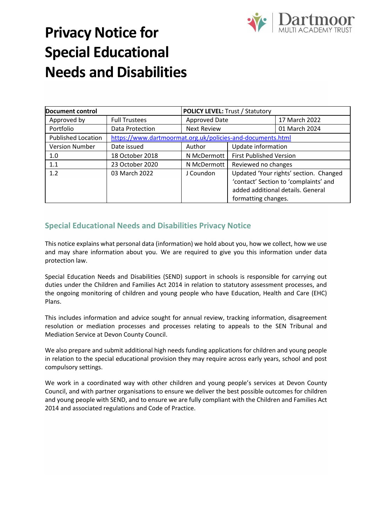

# **Privacy Notice for Special Educational Needs and Disabilities**

| Document control          |                                                            | <b>POLICY LEVEL: Trust / Statutory</b> |                                                                                                                                             |               |
|---------------------------|------------------------------------------------------------|----------------------------------------|---------------------------------------------------------------------------------------------------------------------------------------------|---------------|
| Approved by               | <b>Full Trustees</b>                                       | Approved Date                          |                                                                                                                                             | 17 March 2022 |
| Portfolio                 | Data Protection                                            | <b>Next Review</b>                     |                                                                                                                                             | 01 March 2024 |
| <b>Published Location</b> | https://www.dartmoormat.org.uk/policies-and-documents.html |                                        |                                                                                                                                             |               |
| <b>Version Number</b>     | Date issued                                                | Author                                 | Update information                                                                                                                          |               |
| 1.0                       | 18 October 2018                                            | N McDermott                            | <b>First Published Version</b>                                                                                                              |               |
| 1.1                       | 23 October 2020                                            | N McDermott                            | Reviewed no changes                                                                                                                         |               |
| 1.2                       | 03 March 2022                                              | J Coundon                              | Updated 'Your rights' section. Changed<br>'contact' Section to 'complaints' and<br>added additional details. General<br>formatting changes. |               |

# **Special Educational Needs and Disabilities Privacy Notice**

This notice explains what personal data (information) we hold about you, how we collect, how we use and may share information about you. We are required to give you this information under data protection law.

Special Education Needs and Disabilities (SEND) support in schools is responsible for carrying out duties under the Children and Families Act 2014 in relation to statutory assessment processes, and the ongoing monitoring of children and young people who have Education, Health and Care (EHC) Plans.

This includes information and advice sought for annual review, tracking information, disagreement resolution or mediation processes and processes relating to appeals to the SEN Tribunal and Mediation Service at Devon County Council.

We also prepare and submit additional high needs funding applications for children and young people in relation to the special educational provision they may require across early years, school and post compulsory settings.

We work in a coordinated way with other children and young people's services at Devon County Council, and with partner organisations to ensure we deliver the best possible outcomes for children and young people with SEND, and to ensure we are fully compliant with the Children and Families Act 2014 and associated regulations and Code of Practice.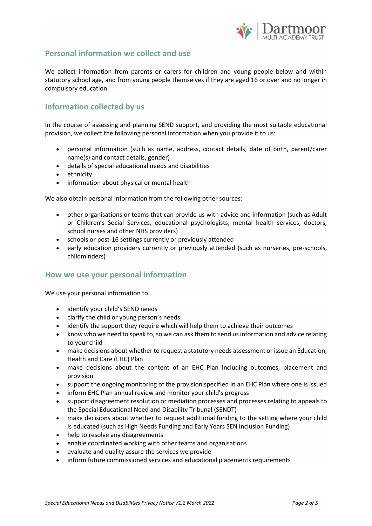

## **Personal information we collect and use**

We collect information from parents or carers for children and young people below and within statutory school age, and from young people themselves if they are aged 16 or over and no longer in compulsory education.

## **Information collected by us**

In the course of assessing and planning SEND support, and providing the most suitable educational provision, we collect the following personal information when you provide it to us:

- personal information (such as name, address, contact details, date of birth, parent/carer name(s) and contact details, gender)
- details of special educational needs and disabilities
- ethnicity
- information about physical or mental health

We also obtain personal information from the following other sources:

- other organisations or teams that can provide us with advice and information (such as Adult or Children's Social Services, educational psychologists, mental health services, doctors, school nurses and other NHS providers)
- schools or post-16 settings currently or previously attended
- early education providers currently or previously attended (such as nurseries, pre-schools, childminders)

#### **How we use your personal information**

We use your personal information to:

- identify your child's SEND needs
- clarify the child or young person's needs
- identify the support they require which will help them to achieve their outcomes
- know who we need to speak to, so we can ask them to send us information and advice relating to your child
- make decisions about whether to request a statutory needs assessment or issue an Education, Health and Care (EHC) Plan
- make decisions about the content of an EHC Plan including outcomes, placement and provision
- support the ongoing monitoring of the provision specified in an EHC Plan where one is issued
- inform EHC Plan annual review and monitor your child's progress
- support disagreement resolution or mediation processes and processes relating to appeals to the Special Educational Need and Disability Tribunal (SENDT)
- make decisions about whether to request additional funding to the setting where your child is educated (such as High Needs Funding and Early Years SEN Inclusion Funding)
- help to resolve any disagreements
- enable coordinated working with other teams and organisations
- evaluate and quality assure the services we provide
- inform future commissioned services and educational placements requirements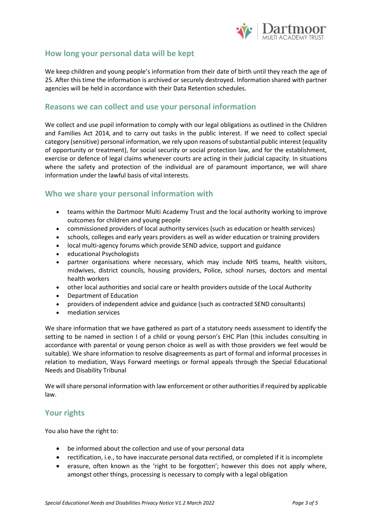

### **How long your personal data will be kept**

We keep children and young people's information from their date of birth until they reach the age of 25. After this time the information is archived or securely destroyed. Information shared with partner agencies will be held in accordance with their Data Retention schedules.

#### **Reasons we can collect and use your personal information**

We collect and use pupil information to comply with our legal obligations as outlined in the Children and Families Act 2014*,* and to carry out tasks in the public interest. If we need to collect special category (sensitive) personal information, we rely upon reasons of substantial public interest (equality of opportunity or treatment), for social security or social protection law, and for the establishment, exercise or defence of legal claims whenever courts are acting in their judicial capacity. In situations where the safety and protection of the individual are of paramount importance, we will share information under the lawful basis of vital interests.

#### **Who we share your personal information with**

- teams within the Dartmoor Multi Academy Trust and the local authority working to improve outcomes for children and young people
- commissioned providers of local authority services (such as education or health services)
- schools, colleges and early years providers as well as wider education or training providers
- local multi-agency forums which provide SEND advice, support and guidance
- educational Psychologists
- partner organisations where necessary, which may include NHS teams, health visitors, midwives, district councils, housing providers, Police, school nurses, doctors and mental health workers
- other local authorities and social care or health providers outside of the Local Authority
- Department of Education
- providers of independent advice and guidance (such as contracted SEND consultants)
- mediation services

We share information that we have gathered as part of a statutory needs assessment to identify the setting to be named in section I of a child or young person's EHC Plan (this includes consulting in accordance with parental or young person choice as well as with those providers we feel would be suitable). We share information to resolve disagreements as part of formal and informal processes in relation to mediation, Ways Forward meetings or formal appeals through the Special Educational Needs and Disability Tribunal

We will share personal information with law enforcement or other authorities if required by applicable law.

#### **Your rights**

You also have the right to:

- be informed about the collection and use of your personal data
- rectification, i.e., to have inaccurate personal data rectified, or completed if it is incomplete
- erasure, often known as the 'right to be forgotten'; however this does not apply where, amongst other things, processing is necessary to comply with a legal obligation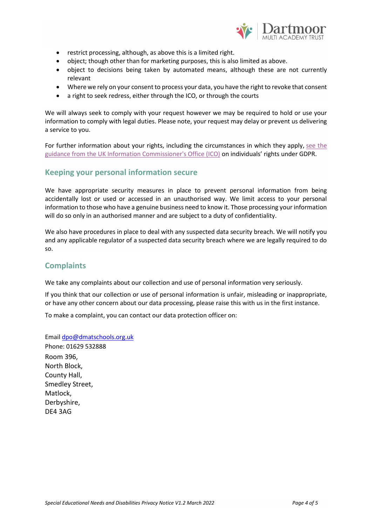

- restrict processing, although, as above this is a limited right.
- object; though other than for marketing purposes, this is also limited as above.
- object to decisions being taken by automated means, although these are not currently relevant
- Where we rely on your consent to process your data, you have the right to revoke that consent
- a right to seek redress, either through the ICO, or through the courts

We will always seek to comply with your request however we may be required to hold or use your information to comply with legal duties. Please note, your request may delay or prevent us delivering a service to you.

For further information about your rights, including the circumstances in which they apply, see the [guidance from the UK Information Commissioner's Office \(ICO\)](https://ico.org.uk/) on individuals' rights under GDPR.

#### **Keeping your personal information secure**

We have appropriate security measures in place to prevent personal information from being accidentally lost or used or accessed in an unauthorised way. We limit access to your personal information to those who have a genuine business need to know it. Those processing your information will do so only in an authorised manner and are subject to a duty of confidentiality.

We also have procedures in place to deal with any suspected data security breach. We will notify you and any applicable regulator of a suspected data security breach where we are legally required to do so.

## **Complaints**

We take any complaints about our collection and use of personal information very seriously.

If you think that our collection or use of personal information is unfair, misleading or inappropriate, or have any other concern about our data processing, please raise this with us in the first instance.

To make a complaint, you can contact our data protection officer on:

Email [dpo@dmatschools.org.uk](mailto:dpo@dmatschools.org.uk) Phone: 01629 532888 Room 396, North Block, County Hall, Smedley Street, Matlock, Derbyshire, DE4 3AG